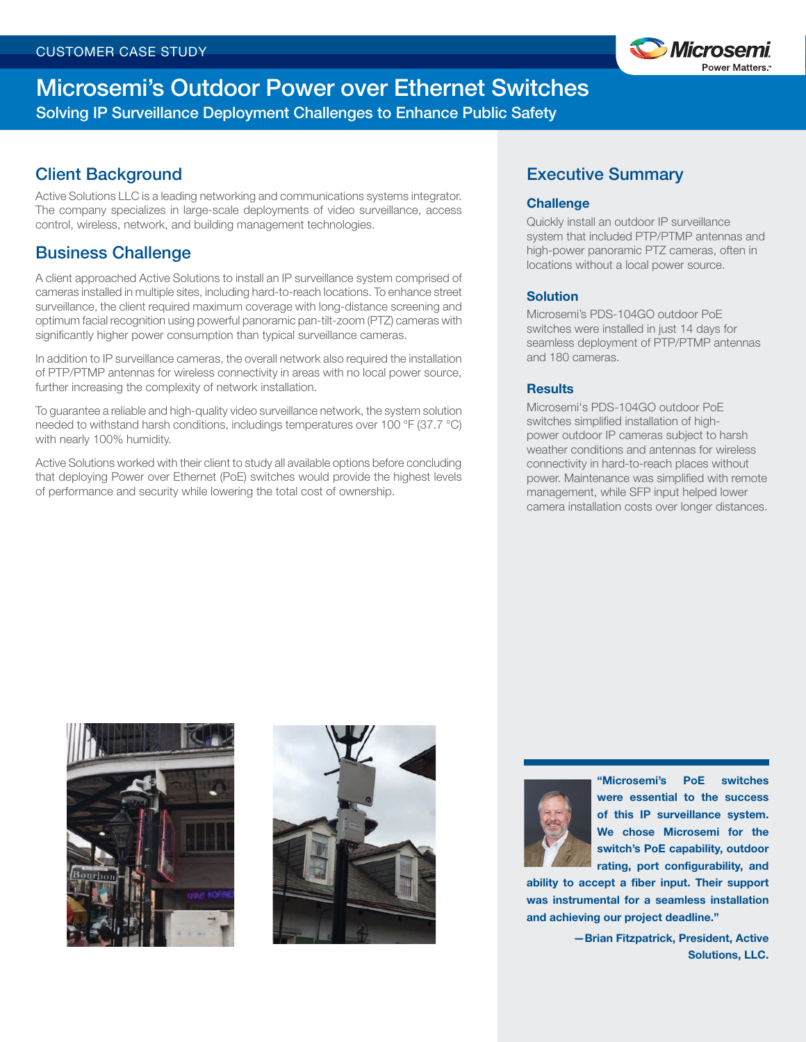

# Microsemi's Outdoor Power over Ethernet Switches Solving IP Surveillance Deployment Challenges to Enhance Public Safety

# Client Background

Active Solutions LLC is a leading networking and communications systems integrator. The company specializes in large-scale deployments of video surveillance, access control, wireless, network, and building management technologies.

## Business Challenge

A client approached Active Solutions to install an IP surveillance system comprised of cameras installed in multiple sites, including hard-to-reach locations. To enhance street surveillance, the client required maximum coverage with long-distance screening and optimum facial recognition using powerful panoramic pan-tilt-zoom (PTZ) cameras with significantly higher power consumption than typical surveillance cameras.

In addition to IP surveillance cameras, the overall network also required the installation of PTP/PTMP antennas for wireless connectivity in areas with no local power source, further increasing the complexity of network installation.

To guarantee a reliable and high-quality video surveillance network, the system solution needed to withstand harsh conditions, includings temperatures over 100 °F (37.7 °C) with nearly 100% humidity.

Active Solutions worked with their client to study all available options before concluding that deploying Power over Ethernet (PoE) switches would provide the highest levels of performance and security while lowering the total cost of ownership.

## Executive Summary

#### **Challenge**

Quickly install an outdoor IP surveillance system that included PTP/PTMP antennas and high-power panoramic PTZ cameras, often in locations without a local power source.

#### **Solution**

Microsemi's PDS-104GO outdoor PoE switches were installed in just 14 days for seamless deployment of PTP/PTMP antennas and 180 cameras.

#### **Results**

Microsemi's PDS-104GO outdoor PoE switches simplified installation of highpower outdoor IP cameras subject to harsh weather conditions and antennas for wireless connectivity in hard-to-reach places without power. Maintenance was simplified with remote management, while SFP input helped lower camera installation costs over longer distances.







"Microsemi's PoE switches were essential to the success of this IP surveillance system. We chose Microsemi for the switch's PoE capability, outdoor rating, port configurability, and

ability to accept a fiber input. Their support was instrumental for a seamless installation and achieving our project deadline."

> —Brian Fitzpatrick, President, Active Solutions, LLC.